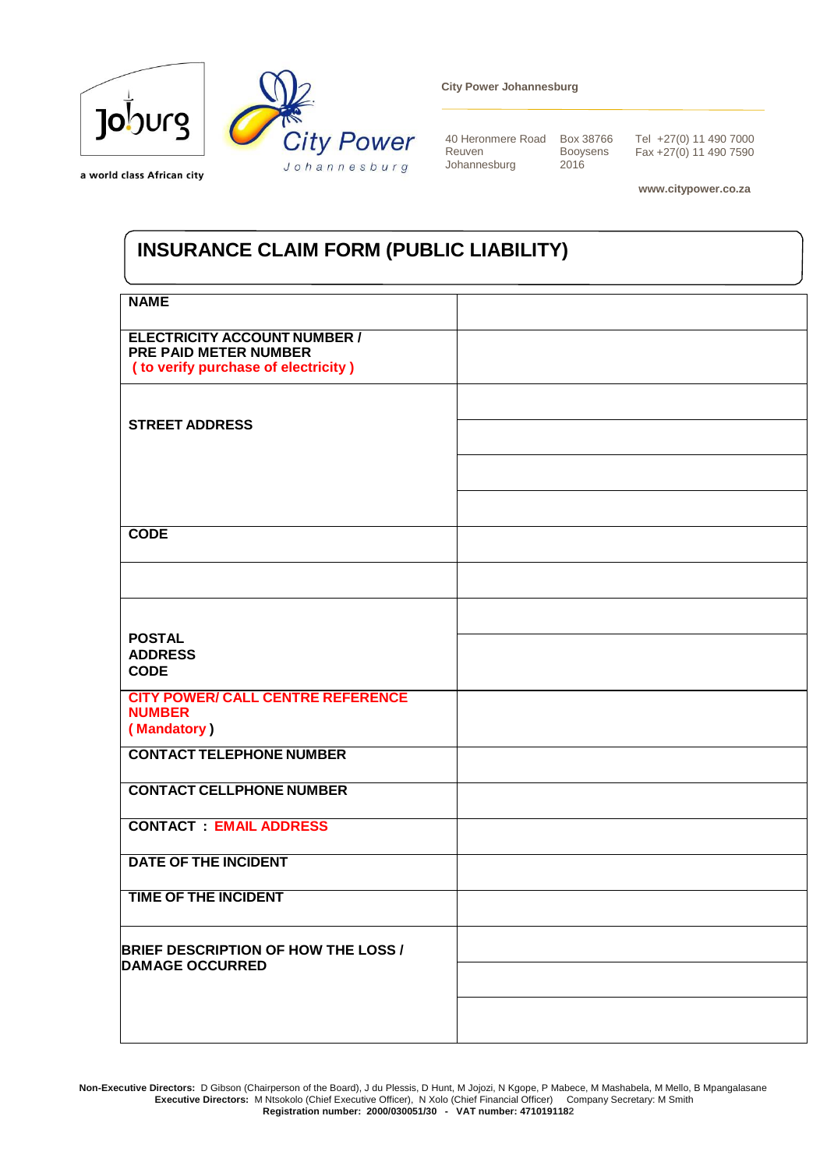

a world class African city

**City Power Johannesburg**

40 Heronmere Road Box 38766 Reuven Johannesburg

Booysens 2016

Tel +27(0) 11 490 7000 Fax +27(0) 11 490 7590

 **www.citypower.co.za**

## **INSURANCE CLAIM FORM (PUBLIC LIABILITY)**

| <b>NAME</b>                                                                                           |  |
|-------------------------------------------------------------------------------------------------------|--|
| <b>ELECTRICITY ACCOUNT NUMBER /</b><br>PRE PAID METER NUMBER<br>( to verify purchase of electricity ) |  |
|                                                                                                       |  |
| <b>STREET ADDRESS</b>                                                                                 |  |
|                                                                                                       |  |
|                                                                                                       |  |
| <b>CODE</b>                                                                                           |  |
|                                                                                                       |  |
|                                                                                                       |  |
| <b>POSTAL</b><br><b>ADDRESS</b><br><b>CODE</b>                                                        |  |
| <b>CITY POWER/ CALL CENTRE REFERENCE</b><br><b>NUMBER</b><br>(Mandatory)                              |  |
| <b>CONTACT TELEPHONE NUMBER</b>                                                                       |  |
| <b>CONTACT CELLPHONE NUMBER</b>                                                                       |  |
| <b>CONTACT : EMAIL ADDRESS</b>                                                                        |  |
| <b>DATE OF THE INCIDENT</b>                                                                           |  |
| <b>TIME OF THE INCIDENT</b>                                                                           |  |
| <b>BRIEF DESCRIPTION OF HOW THE LOSS /</b><br><b>DAMAGE OCCURRED</b>                                  |  |
|                                                                                                       |  |
|                                                                                                       |  |

 **Non-Executive Directors:** D Gibson (Chairperson of the Board), J du Plessis, D Hunt, M Jojozi, N Kgope, P Mabece, M Mashabela, M Mello, B Mpangalasane **Executive Directors:** M Ntsokolo (Chief Executive Officer), N Xolo (Chief Financial Officer) Company Secretary: M Smith  **Registration number: 2000/030051/30 - VAT number: 4710191182**